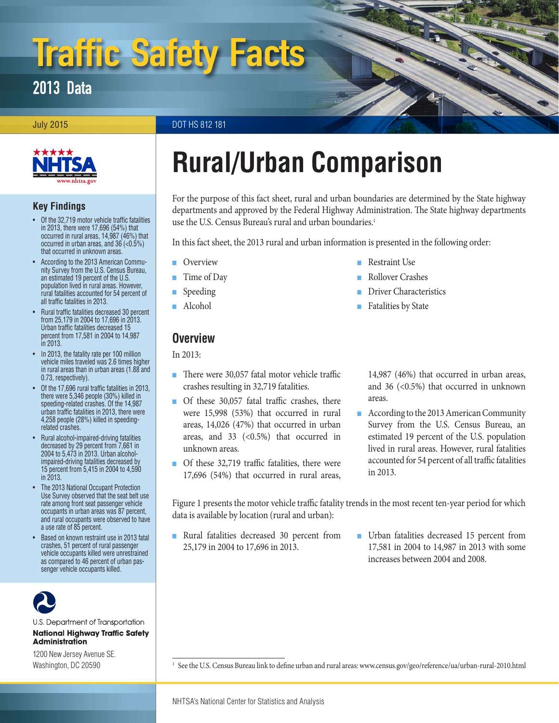# Traffic Safety Facts

# 2013 Data

July 2015 DOT HS 812 181



#### **Key Findings**

- Of the 32,719 motor vehicle traffic fatalities in 2013, there were 17,696 (54%) that occurred in rural areas, 14,987 (46%) that occurred in urban areas, and 36 (<0.5%) that occurred in unknown areas.
- According to the 2013 American Community Survey from the U.S. Census Bureau, an estimated 19 percent of the U.S. population lived in rural areas. However, rural fatalities accounted for 54 percent of all traffic fatalities in 2013.
- Rural traffic fatalities decreased 30 percent from 25,179 in 2004 to 17,696 in 2013. Urban traffic fatalities decreased 15 percent from 17,581 in 2004 to 14,987 in 2013.
- In 2013, the fatality rate per 100 million vehicle miles traveled was 2.6 times higher in rural areas than in urban areas (1.88 and 0.73, respectively).
- Of the 17,696 rural traffic fatalities in 2013, there were 5,346 people (30%) killed in speeding-related crashes. Of the 14,987 urban traffic fatalities in 2013, there were 4,258 people (28%) killed in speedingrelated crashes.
- Rural alcohol-impaired-driving fatalities decreased by 29 percent from 7,661 in 2004 to 5,473 in 2013. Urban alcoholimpaired-driving fatalities decreased by 15 percent from 5,415 in 2004 to 4,590 in 2013.
- The 2013 National Occupant Protection Use Survey observed that the seat belt use rate among front seat passenger vehicle occupants in urban areas was 87 percent, and rural occupants were observed to have a use rate of 85 percent.
- Based on known restraint use in 2013 fatal crashes, 51 percent of rural passenger vehicle occupants killed were unrestrained as compared to 46 percent of urban passenger vehicle occupants killed.



U.S. Department of Transportation **National Highway Traffic Safety Administration** 

1200 New Jersey Avenue SE. Washington, DC 20590

# **Rural/Urban Comparison**

For the purpose of this fact sheet, rural and urban boundaries are determined by the State highway departments and approved by the Federal Highway Administration. The State highway departments use the U.S. Census Bureau's rural and urban boundaries.<sup>1</sup>

> ■ Restraint Use ■ [Rollover Crashes](#page-4-1)

> ■ [Fatalities by State](#page-4-3)

**[Driver Characteristics](#page-4-2)** 

In this fact sheet, the 2013 rural and urban information is presented in the following order:

- **[Overview](#page-0-0)**
- [Time of Day](#page-2-0)
- **[Speeding](#page-2-1)**
- [Alcohol](#page-3-0)

#### <span id="page-0-0"></span>**Overview**

In 2013:

- There were 30,057 fatal motor vehicle traffic crashes resulting in 32,719 fatalities.
- Of these 30,057 fatal traffic crashes, there were 15,998 (53%) that occurred in rural areas, 14,026 (47%) that occurred in urban areas, and  $33$  (<0.5%) that occurred in unknown areas.
- Of these 32,719 traffic fatalities, there were 17,696 (54%) that occurred in rural areas,

14,987 (46%) that occurred in urban areas, and 36 (<0.5%) that occurred in unknown areas.

■ According to the 2013 American Community Survey from the U.S. Census Bureau, an estimated 19 percent of the U.S. population lived in rural areas. However, rural fatalities accounted for 54 percent of all traffic fatalities in 2013.

Figure 1 presents the motor vehicle traffic fatality trends in the most recent ten-year period for which data is available by location (rural and urban):

- Rural fatalities decreased 30 percent from 25,179 in 2004 to 17,696 in 2013.
- Urban fatalities decreased 15 percent from 17,581 in 2004 to 14,987 in 2013 with some increases between 2004 and 2008.

<sup>1</sup> See the U.S. Census Bureau link to define urban and rural areas: [www.census.gov/geo/reference/ua/urban-rural-2010.html](http://www.census.gov/geo/reference/ua/urban-rural-2010.html)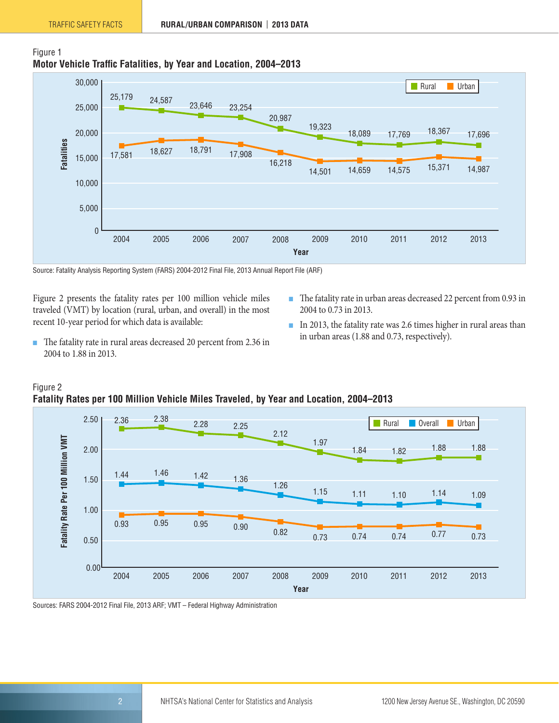



Source: Fatality Analysis Reporting System (FARS) 2004-2012 Final File, 2013 Annual Report File (ARF)

Figure 2 presents the fatality rates per 100 million vehicle miles traveled (VMT) by location (rural, urban, and overall) in the most recent 10-year period for which data is available:

- The fatality rate in urban areas decreased 22 percent from 0.93 in 2004 to 0.73 in 2013.
- The fatality rate in rural areas decreased 20 percent from 2.36 in 2004 to 1.88 in 2013.
- In 2013, the fatality rate was 2.6 times higher in rural areas than in urban areas (1.88 and 0.73, respectively).



Figure 2 **Fatality Rates per 100 Million Vehicle Miles Traveled, by Year and Location, 2004–2013**

Sources: FARS 2004-2012 Final File, 2013 ARF; VMT – Federal Highway Administration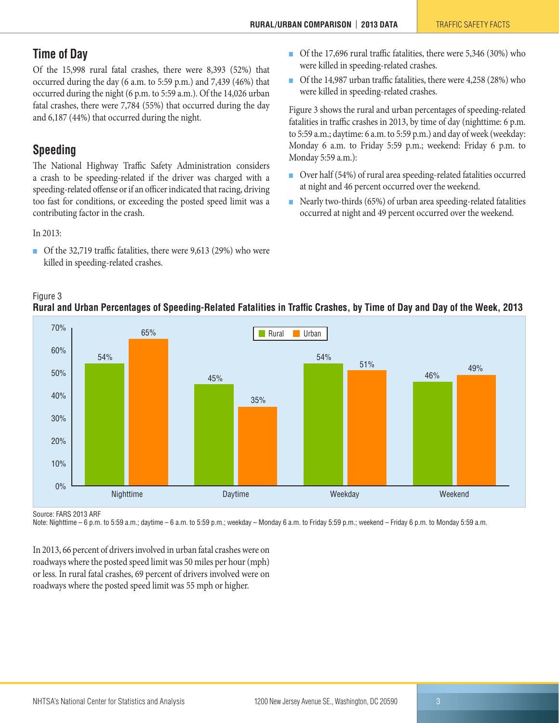# <span id="page-2-0"></span>**Time of Day**

Of the 15,998 rural fatal crashes, there were 8,393 (52%) that occurred during the day (6 a.m. to 5:59 p.m.) and 7,439 (46%) that occurred during the night (6 p.m. to 5:59 a.m.). Of the 14,026 urban fatal crashes, there were 7,784 (55%) that occurred during the day and 6,187 (44%) that occurred during the night.

# <span id="page-2-1"></span>**Speeding**

The National Highway Traffic Safety Administration considers a crash to be speeding-related if the driver was charged with a speeding-related offense or if an officer indicated that racing, driving too fast for conditions, or exceeding the posted speed limit was a contributing factor in the crash.

In 2013:

Figure 3

■ Of the 32,719 traffic fatalities, there were 9,613 (29%) who were killed in speeding-related crashes.

- Of the 17,696 rural traffic fatalities, there were 5,346 (30%) who were killed in speeding-related crashes.
- Of the 14,987 urban traffic fatalities, there were 4,258 (28%) who were killed in speeding-related crashes.

Figure 3 shows the rural and urban percentages of speeding-related fatalities in traffic crashes in 2013, by time of day (nighttime: 6 p.m. to 5:59 a.m.; daytime: 6 a.m. to 5:59 p.m.) and day of week (weekday: Monday 6 a.m. to Friday 5:59 p.m.; weekend: Friday 6 p.m. to Monday 5:59 a.m.):

- Over half (54%) of rural area speeding-related fatalities occurred at night and 46 percent occurred over the weekend.
- Nearly two-thirds (65%) of urban area speeding-related fatalities occurred at night and 49 percent occurred over the weekend.



#### **Rural and Urban Percentages of Speeding-Related Fatalities in Traffic Crashes, by Time of Day and Day of the Week, 2013**

Source: FARS 2013 ARF

Note: Nighttime – 6 p.m. to 5:59 a.m.; daytime – 6 a.m. to 5:59 p.m.; weekday – Monday 6 a.m. to Friday 5:59 p.m.; weekend – Friday 6 p.m. to Monday 5:59 a.m.

In 2013, 66 percent of drivers involved in urban fatal crashes were on roadways where the posted speed limit was 50 miles per hour (mph) or less. In rural fatal crashes, 69 percent of drivers involved were on roadways where the posted speed limit was 55 mph or higher.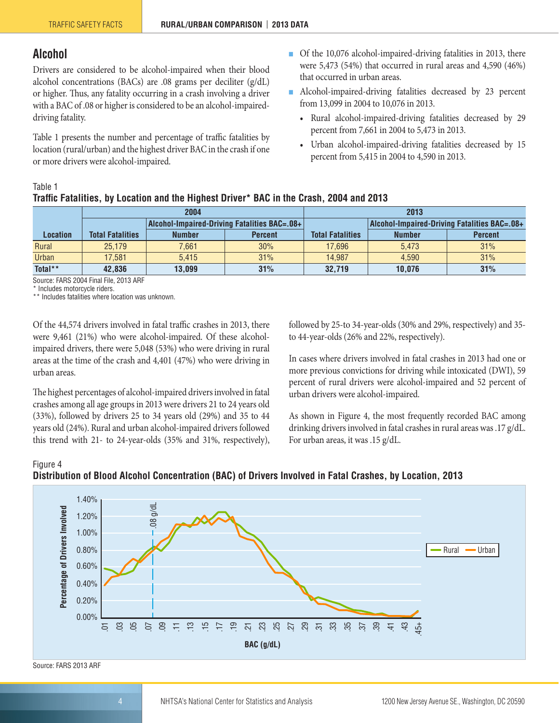#### <span id="page-3-0"></span>**Alcohol**

Drivers are considered to be alcohol-impaired when their blood alcohol concentrations (BACs) are .08 grams per deciliter (g/dL) or higher. Thus, any fatality occurring in a crash involving a driver with a BAC of .08 or higher is considered to be an alcohol-impaireddriving fatality.

Table 1 presents the number and percentage of traffic fatalities by location (rural/urban) and the highest driver BAC in the crash if one or more drivers were alcohol-impaired.

- Of the 10,076 alcohol-impaired-driving fatalities in 2013, there were 5,473 (54%) that occurred in rural areas and 4,590 (46%) that occurred in urban areas.
- Alcohol-impaired-driving fatalities decreased by 23 percent from 13,099 in 2004 to 10,076 in 2013.
	- Rural alcohol-impaired-driving fatalities decreased by 29 percent from 7,661 in 2004 to 5,473 in 2013.
	- Urban alcohol-impaired-driving fatalities decreased by 15 percent from 5,415 in 2004 to 4,590 in 2013.

#### Table 1

#### **Traffic Fatalities, by Location and the Highest Driver\* BAC in the Crash, 2004 and 2013**

|                 |                         | 2004          |                                              | 2013                    |                                              |                |  |
|-----------------|-------------------------|---------------|----------------------------------------------|-------------------------|----------------------------------------------|----------------|--|
|                 |                         |               | Alcohol-Impaired-Driving Fatalities BAC=.08+ |                         | Alcohol-Impaired-Driving Fatalities BAC=.08+ |                |  |
| <b>Location</b> | <b>Total Fatalities</b> | <b>Number</b> | <b>Percent</b>                               | <b>Total Fatalities</b> | <b>Number</b>                                | <b>Percent</b> |  |
| Rural           | 25.179                  | 7.661         | 30%                                          | 17.696                  | 5.473                                        | 31%            |  |
| <b>Urban</b>    | 17.581                  | 5.415         | 31%                                          | 14.987                  | 4.590                                        | 31%            |  |
| Total**         | 42.836                  | 13.099        | 31%                                          | 32.719                  | 10,076                                       | 31%            |  |

Source: FARS 2004 Final File, 2013 ARF

\* Includes motorcycle riders.

\*\* Includes fatalities where location was unknown.

Of the 44,574 drivers involved in fatal traffic crashes in 2013, there were 9,461 (21%) who were alcohol-impaired. Of these alcoholimpaired drivers, there were 5,048 (53%) who were driving in rural areas at the time of the crash and 4,401 (47%) who were driving in urban areas.

The highest percentages of alcohol-impaired drivers involved in fatal crashes among all age groups in 2013 were drivers 21 to 24 years old (33%), followed by drivers 25 to 34 years old (29%) and 35 to 44 years old (24%). Rural and urban alcohol-impaired drivers followed this trend with 21- to 24-year-olds (35% and 31%, respectively), followed by 25-to 34-year-olds (30% and 29%, respectively) and 35 to 44-year-olds (26% and 22%, respectively).

In cases where drivers involved in fatal crashes in 2013 had one or more previous convictions for driving while intoxicated (DWI), 59 percent of rural drivers were alcohol-impaired and 52 percent of urban drivers were alcohol-impaired.

As shown in Figure 4, the most frequently recorded BAC among drinking drivers involved in fatal crashes in rural areas was .17 g/dL. For urban areas, it was .15 g/dL.

#### Figure 4



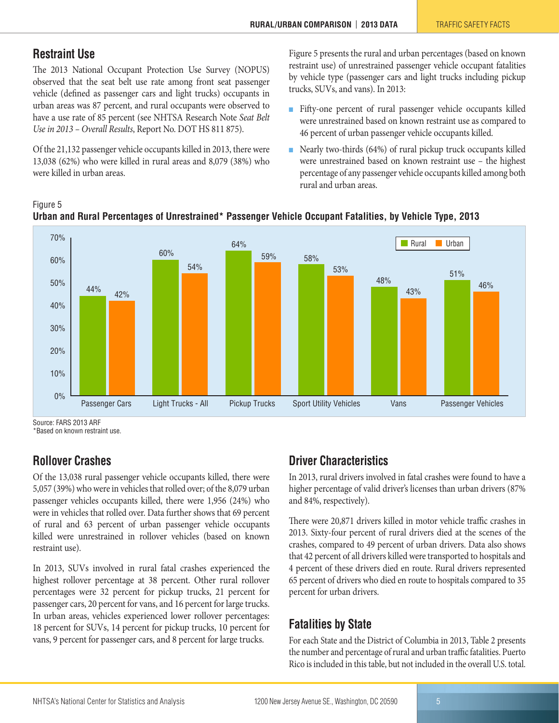### <span id="page-4-0"></span>**Restraint Use**

The 2013 National Occupant Protection Use Survey (NOPUS) observed that the seat belt use rate among front seat passenger vehicle (defined as passenger cars and light trucks) occupants in urban areas was 87 percent, and rural occupants were observed to have a use rate of 85 percent (see NHTSA Research Note *Seat Belt Use in 2013 – Overall Results*, Report No. DOT HS 811 875).

Of the 21,132 passenger vehicle occupants killed in 2013, there were 13,038 (62%) who were killed in rural areas and 8,079 (38%) who were killed in urban areas.

Figure 5 presents the rural and urban percentages (based on known restraint use) of unrestrained passenger vehicle occupant fatalities by vehicle type (passenger cars and light trucks including pickup trucks, SUVs, and vans). In 2013:

- Fifty-one percent of rural passenger vehicle occupants killed were unrestrained based on known restraint use as compared to 46 percent of urban passenger vehicle occupants killed.
- Nearly two-thirds (64%) of rural pickup truck occupants killed were unrestrained based on known restraint use – the highest percentage of any passenger vehicle occupants killed among both rural and urban areas.



Figure 5 **Urban and Rural Percentages of Unrestrained\* Passenger Vehicle Occupant Fatalities, by Vehicle Type, 2013**

Source: FARS 2013 ARF

\*Based on known restraint use.

# <span id="page-4-1"></span>**Rollover Crashes**

Of the 13,038 rural passenger vehicle occupants killed, there were 5,057 (39%) who were in vehicles that rolled over; of the 8,079 urban passenger vehicles occupants killed, there were 1,956 (24%) who were in vehicles that rolled over. Data further shows that 69 percent of rural and 63 percent of urban passenger vehicle occupants killed were unrestrained in rollover vehicles (based on known restraint use).

In 2013, SUVs involved in rural fatal crashes experienced the highest rollover percentage at 38 percent. Other rural rollover percentages were 32 percent for pickup trucks, 21 percent for passenger cars, 20 percent for vans, and 16 percent for large trucks. In urban areas, vehicles experienced lower rollover percentages: 18 percent for SUVs, 14 percent for pickup trucks, 10 percent for vans, 9 percent for passenger cars, and 8 percent for large trucks.

# <span id="page-4-2"></span>**Driver Characteristics**

In 2013, rural drivers involved in fatal crashes were found to have a higher percentage of valid driver's licenses than urban drivers (87% and 84%, respectively).

There were 20,871 drivers killed in motor vehicle traffic crashes in 2013. Sixty-four percent of rural drivers died at the scenes of the crashes, compared to 49 percent of urban drivers. Data also shows that 42 percent of all drivers killed were transported to hospitals and 4 percent of these drivers died en route. Rural drivers represented 65 percent of drivers who died en route to hospitals compared to 35 percent for urban drivers.

# <span id="page-4-3"></span>**Fatalities by State**

For each State and the District of Columbia in 2013, Table 2 presents the number and percentage of rural and urban traffic fatalities. Puerto Rico is included in this table, but not included in the overall U.S. total.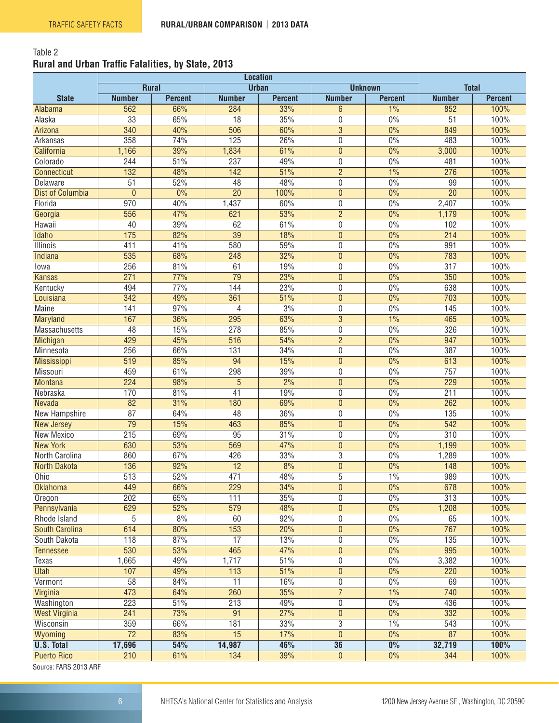#### Table 2 **Rural and Urban Traffic Fatalities, by State, 2013**

|                         |                  | <b>Rural</b>   | <b>Urban</b>    |                | <b>Unknown</b> |                | <b>Total</b>     |                |
|-------------------------|------------------|----------------|-----------------|----------------|----------------|----------------|------------------|----------------|
| <b>State</b>            | <b>Number</b>    | <b>Percent</b> | <b>Number</b>   | <b>Percent</b> | <b>Number</b>  | <b>Percent</b> | <b>Number</b>    | <b>Percent</b> |
| Alabama                 | 562              | 66%            | 284             | 33%            | 6              | 1%             | 852              | 100%           |
| Alaska                  | $\overline{33}$  | 65%            | $\overline{18}$ | 35%            | 0              | 0%             | $\overline{51}$  | 100%           |
| Arizona                 | 340              | 40%            | 506             | 60%            | $\overline{3}$ | 0%             | 849              | 100%           |
| Arkansas                | 358              | 74%            | 125             | 26%            | 0              | 0%             | 483              | 100%           |
| California              | 1,166            | 39%            | 1,834           | 61%            | $\overline{0}$ | 0%             | 3,000            | 100%           |
| Colorado                | 244              | 51%            | 237             | 49%            | 0              | 0%             | 481              | 100%           |
| <b>Connecticut</b>      | 132              | 48%            | 142             | 51%            | $\overline{2}$ | 1%             | 276              | 100%           |
| Delaware                | $\overline{51}$  | 52%            | 48              | 48%            | 0              | 0%             | 99               | 100%           |
| <b>Dist of Columbia</b> | $\overline{0}$   | 0%             | $\overline{20}$ | 100%           | $\mathbf{0}$   | 0%             | $\overline{20}$  | 100%           |
| Florida                 | 970              | 40%            | 1,437           | 60%            | 0              | 0%             | 2,407            | 100%           |
| Georgia                 | 556              | 47%            | 621             | 53%            | $\overline{2}$ | 0%             | 1,179            | 100%           |
| Hawaii                  | 40               | 39%            | 62              | 61%            | 0              | $0\%$          | 102              | 100%           |
| Idaho                   | 175              | 82%            | $\overline{39}$ | 18%            | $\mathbf{0}$   | 0%             | 214              | 100%           |
| <b>Illinois</b>         | 411              | 41%            | 580             | 59%            | 0              | 0%             | 991              | 100%           |
| Indiana                 | 535              | 68%            | 248             | 32%            | $\mathbf{0}$   | 0%             | 783              | 100%           |
| lowa                    | 256              | 81%            | 61              | 19%            | 0              | 0%             | $\overline{317}$ | 100%           |
| <b>Kansas</b>           | 271              | 77%            | 79              | 23%            | $\mathbf{0}$   | 0%             | 350              | 100%           |
| Kentucky                | 494              | 77%            | 144             | 23%            | 0              | 0%             | 638              | 100%           |
| Louisiana               | 342              | 49%            | 361             | 51%            | $\overline{0}$ | 0%             | $\overline{703}$ | 100%           |
| <b>Maine</b>            | 141              | 97%            | 4               | 3%             | 0              | 0%             | 145              | 100%           |
| <b>Maryland</b>         | 167              | 36%            | 295             | 63%            | $\overline{3}$ | 1%             | 465              | 100%           |
| Massachusetts           | $\overline{48}$  | 15%            | 278             | 85%            | 0              | 0%             | 326              | 100%           |
| Michigan                | 429              | 45%            | 516             | 54%            | $\overline{2}$ | 0%             | 947              | 100%           |
| Minnesota               | 256              | 66%            | 131             | 34%            | 0              | 0%             | 387              | 100%           |
| <b>Mississippi</b>      | 519              | 85%            | 94              | 15%            | $\mathbf{0}$   | 0%             | 613              | 100%           |
| Missouri                | 459              | 61%            | 298             | 39%            | 0              | 0%             | 757              | 100%           |
| <b>Montana</b>          | 224              | 98%            | 5               | 2%             | $\mathbf{0}$   | 0%             | 229              | 100%           |
| Nebraska                | 170              | 81%            | $\overline{41}$ | 19%            | 0              | 0%             | $\overline{211}$ | 100%           |
| Nevada                  | $\overline{82}$  | 31%            | 180             | 69%            | $\mathbf{0}$   | 0%             | $\overline{262}$ | 100%           |
| New Hampshire           | 87               | 64%            | 48              | 36%            | 0              | 0%             | 135              | 100%           |
| <b>New Jersey</b>       | 79               | 15%            | 463             | 85%            | $\mathbf{0}$   | 0%             | 542              | 100%           |
| New Mexico              | $\overline{215}$ | 69%            | $\overline{95}$ | 31%            | 0              | 0%             | $\overline{310}$ | 100%           |
| <b>New York</b>         | 630              | 53%            | 569             | 47%            | $\mathbf{0}$   | 0%             | 1,199            | 100%           |
| North Carolina          | 860              | 67%            | 426             | 33%            | 3              | 0%             | 1,289            | 100%           |
| <b>North Dakota</b>     | 136              | 92%            | $\overline{12}$ | 8%             | $\mathbf{0}$   | 0%             | 148              | 100%           |
| Ohio                    | $\overline{513}$ | 52%            | 471             | 48%            | $\overline{5}$ | 1%             | 989              | 100%           |
| <b>Oklahoma</b>         | 449              | 66%            | 229             | 34%            | $\pmb{0}$      | 0%             | 678              | 100%           |
| Oregon                  | $\overline{202}$ | 65%            | 111             | 35%            | 0              | 0%             | $\overline{313}$ | 100%           |
| Pennsylvania            | 629              | 52%            | 579             | 48%            | $\pmb{0}$      | $0\%$          | 1,208            | 100%           |
| Rhode Island            | 5                | 8%             | 60              | 92%            | 0              | $0\%$          | 65               | 100%           |
| <b>South Carolina</b>   | 614              | 80%            | 153             | 20%            | $\overline{0}$ | 0%             | 767              | 100%           |
| South Dakota            | 118              | 87%            | $\overline{17}$ | 13%            | 0              | $0\%$          | $\overline{135}$ | 100%           |
| <b>Tennessee</b>        | 530              | 53%            | 465             | 47%            | $\pmb{0}$      | $0\%$          | 995              | 100%           |
| Texas                   | 1,665            | 49%            | 1,717           | 51%            | $\overline{0}$ | 0%             | 3,382            | 100%           |
| <b>Utah</b>             | 107              | 49%            | 113             | 51%            | $\pmb{0}$      | 0%             | 220              | 100%           |
| Vermont                 | $\overline{58}$  | 84%            | $\overline{11}$ | 16%            | 0              | 0%             | 69               | 100%           |
| Virginia                | 473              | 64%            | 260             | 35%            | $\overline{7}$ | 1%             | 740              | 100%           |
| Washington              | 223              | 51%            | 213             | 49%            | 0              | $0\%$          | 436              | 100%           |
| <b>West Virginia</b>    | 241              | 73%            | 91              | 27%            | $\pmb{0}$      | $0\%$          | 332              | 100%           |
| Wisconsin               | 359              | 66%            | 181             | 33%            | $\overline{3}$ | 1%             | 543              | 100%           |
| Wyoming                 | $\overline{72}$  | 83%            | 15              | 17%            | $\overline{0}$ | 0%             | 87               | 100%           |
| <b>U.S. Total</b>       | 17,696           | 54%            | 14,987          | 46%            | 36             | $0\%$          | 32,719           | 100%           |
| <b>Puerto Rico</b>      | 210              | 61%            | 134             | 39%            | $\theta$       | $0\%$          | 344              | 100%           |
| EADC 0010 ADE           |                  |                |                 |                |                |                |                  |                |

Source: FARS 2013 ARF